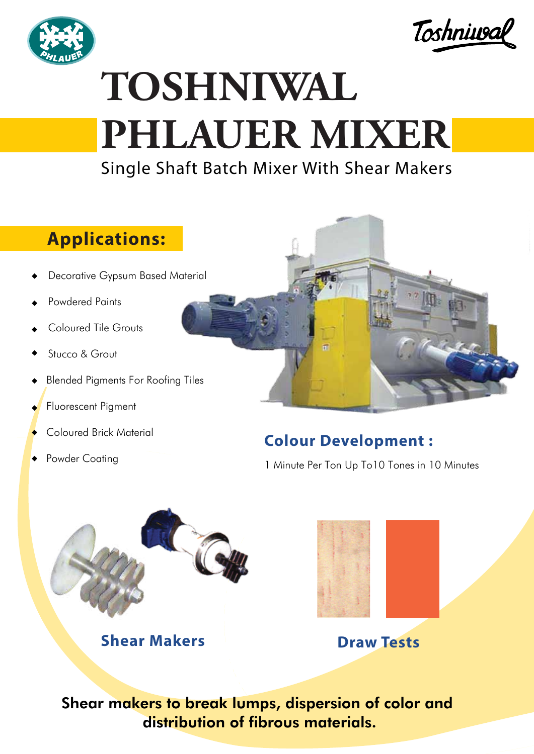



# **TOSHNIWAL PHLAUER MIXER**

## Single Shaft Batch Mixer With Shear Makers

### **Applications:**

- Decorative Gypsum Based Material
- Powdered Paints
- Coloured Tile Grouts
- Stucco & Grout
- Blended Pigments For Roofing Tiles
- Fluorescent Pigment
- Coloured Brick Material
- Powder Coating



#### **Colour Development :**

1 Minute Per Ton Up To10 Tones in 10 Minutes



**Shear Makers Draw Tests** 



Shear makers to break lumps, dispersion of color and distribution of fibrous materials.